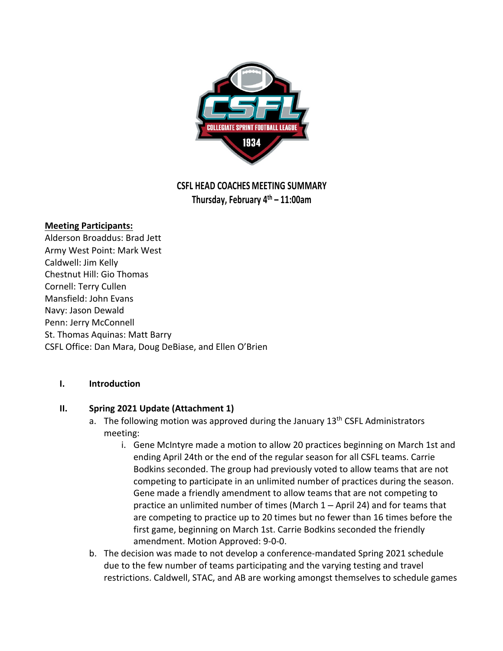

# **CSFL HEAD COACHES MEETING SUMMARY Thursday, February 4th – 11:00am**

### **Meeting Participants:**

Alderson Broaddus: Brad Jett Army West Point: Mark West Caldwell: Jim Kelly Chestnut Hill: Gio Thomas Cornell: Terry Cullen Mansfield: John Evans Navy: Jason Dewald Penn: Jerry McConnell St. Thomas Aquinas: Matt Barry CSFL Office: Dan Mara, Doug DeBiase, and Ellen O'Brien

### **I. Introduction**

### **II. Spring 2021 Update (Attachment 1)**

- a. The following motion was approved during the January  $13<sup>th</sup>$  CSFL Administrators meeting:
	- i. Gene McIntyre made a motion to allow 20 practices beginning on March 1st and ending April 24th or the end of the regular season for all CSFL teams. Carrie Bodkins seconded. The group had previously voted to allow teams that are not competing to participate in an unlimited number of practices during the season. Gene made a friendly amendment to allow teams that are not competing to practice an unlimited number of times (March 1 – April 24) and for teams that are competing to practice up to 20 times but no fewer than 16 times before the first game, beginning on March 1st. Carrie Bodkins seconded the friendly amendment. Motion Approved: 9-0-0.
- b. The decision was made to not develop a conference-mandated Spring 2021 schedule due to the few number of teams participating and the varying testing and travel restrictions. Caldwell, STAC, and AB are working amongst themselves to schedule games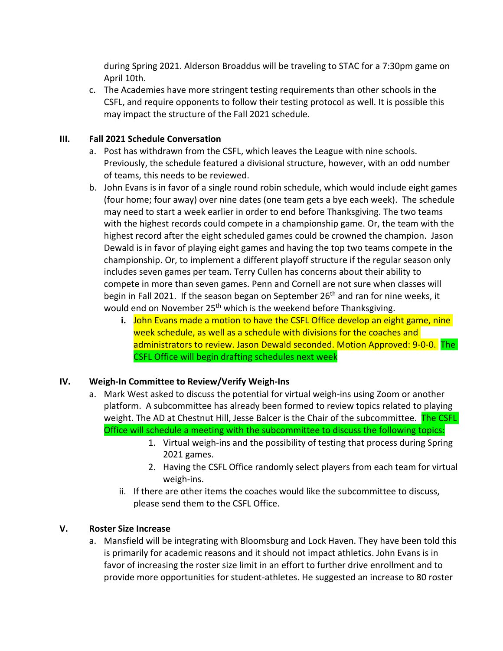during Spring 2021. Alderson Broaddus will be traveling to STAC for a 7:30pm game on April 10th.

c. The Academies have more stringent testing requirements than other schools in the CSFL, and require opponents to follow their testing protocol as well. It is possible this may impact the structure of the Fall 2021 schedule.

### **III. Fall 2021 Schedule Conversation**

- a. Post has withdrawn from the CSFL, which leaves the League with nine schools. Previously, the schedule featured a divisional structure, however, with an odd number of teams, this needs to be reviewed.
- b. John Evans is in favor of a single round robin schedule, which would include eight games (four home; four away) over nine dates (one team gets a bye each week). The schedule may need to start a week earlier in order to end before Thanksgiving. The two teams with the highest records could compete in a championship game. Or, the team with the highest record after the eight scheduled games could be crowned the champion. Jason Dewald is in favor of playing eight games and having the top two teams compete in the championship. Or, to implement a different playoff structure if the regular season only includes seven games per team. Terry Cullen has concerns about their ability to compete in more than seven games. Penn and Cornell are not sure when classes will begin in Fall 2021. If the season began on September 26<sup>th</sup> and ran for nine weeks, it would end on November 25<sup>th</sup> which is the weekend before Thanksgiving.
	- **i.** John Evans made a motion to have the CSFL Office develop an eight game, nine week schedule, as well as a schedule with divisions for the coaches and administrators to review. Jason Dewald seconded. Motion Approved: 9-0-0. The CSFL Office will begin drafting schedules next week

## **IV. Weigh-In Committee to Review/Verify Weigh-Ins**

- a. Mark West asked to discuss the potential for virtual weigh-ins using Zoom or another platform. A subcommittee has already been formed to review topics related to playing weight. The AD at Chestnut Hill, Jesse Balcer is the Chair of the subcommittee. The CSFL Office will schedule a meeting with the subcommittee to discuss the following topics:
	- 1. Virtual weigh-ins and the possibility of testing that process during Spring 2021 games.
	- 2. Having the CSFL Office randomly select players from each team for virtual weigh-ins.
	- ii. If there are other items the coaches would like the subcommittee to discuss, please send them to the CSFL Office.

## **V. Roster Size Increase**

a. Mansfield will be integrating with Bloomsburg and Lock Haven. They have been told this is primarily for academic reasons and it should not impact athletics. John Evans is in favor of increasing the roster size limit in an effort to further drive enrollment and to provide more opportunities for student-athletes. He suggested an increase to 80 roster